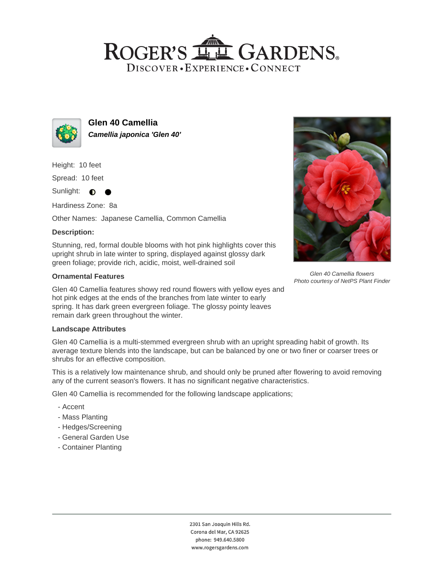## ROGER'S LL GARDENS. DISCOVER · EXPERIENCE · CONNECT



**Glen 40 Camellia Camellia japonica 'Glen 40'**

Height: 10 feet

Spread: 10 feet

Sunlight:  $\bullet$ 

Hardiness Zone: 8a

Other Names: Japanese Camellia, Common Camellia

### **Description:**

Stunning, red, formal double blooms with hot pink highlights cover this upright shrub in late winter to spring, displayed against glossy dark green foliage; provide rich, acidic, moist, well-drained soil

### **Ornamental Features**

Glen 40 Camellia features showy red round flowers with yellow eyes and hot pink edges at the ends of the branches from late winter to early spring. It has dark green evergreen foliage. The glossy pointy leaves remain dark green throughout the winter.

### **Landscape Attributes**

Glen 40 Camellia is a multi-stemmed evergreen shrub with an upright spreading habit of growth. Its average texture blends into the landscape, but can be balanced by one or two finer or coarser trees or shrubs for an effective composition.

This is a relatively low maintenance shrub, and should only be pruned after flowering to avoid removing any of the current season's flowers. It has no significant negative characteristics.

Glen 40 Camellia is recommended for the following landscape applications;

- Accent
- Mass Planting
- Hedges/Screening
- General Garden Use
- Container Planting



Glen 40 Camellia flowers Photo courtesy of NetPS Plant Finder